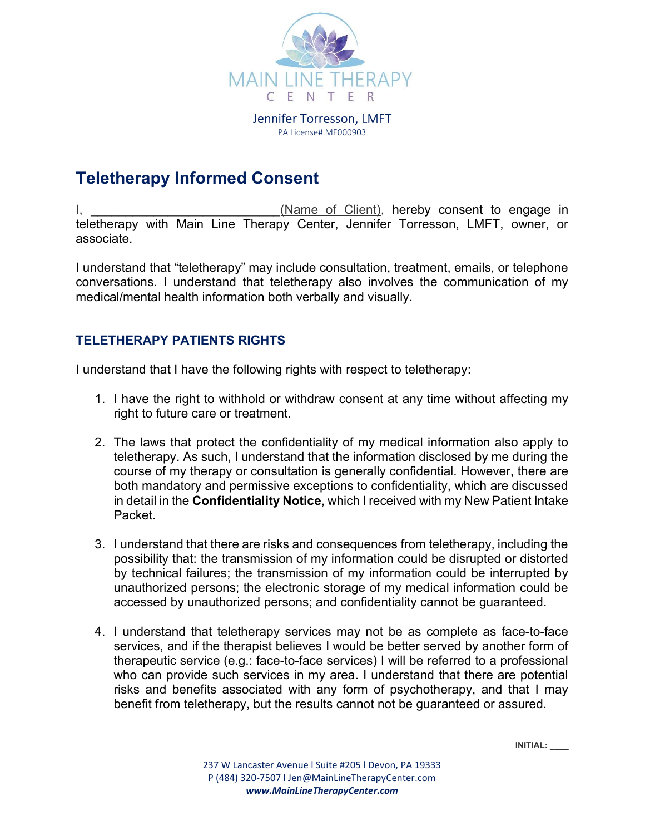

Jennifer Torresson, LMFT PA License# MF000903

## Teletherapy Informed Consent

I, and the same of Client), hereby consent to engage in teletherapy with Main Line Therapy Center, Jennifer Torresson, LMFT, owner, or associate.

I understand that "teletherapy" may include consultation, treatment, emails, or telephone conversations. I understand that teletherapy also involves the communication of my medical/mental health information both verbally and visually.

## TELETHERAPY PATIENTS RIGHTS

I understand that I have the following rights with respect to teletherapy:

- 1. I have the right to withhold or withdraw consent at any time without affecting my right to future care or treatment.
- 2. The laws that protect the confidentiality of my medical information also apply to teletherapy. As such, I understand that the information disclosed by me during the course of my therapy or consultation is generally confidential. However, there are both mandatory and permissive exceptions to confidentiality, which are discussed in detail in the Confidentiality Notice, which I received with my New Patient Intake Packet.
- 3. I understand that there are risks and consequences from teletherapy, including the possibility that: the transmission of my information could be disrupted or distorted by technical failures; the transmission of my information could be interrupted by unauthorized persons; the electronic storage of my medical information could be accessed by unauthorized persons; and confidentiality cannot be guaranteed.
- 4. I understand that teletherapy services may not be as complete as face-to-face services, and if the therapist believes I would be better served by another form of therapeutic service (e.g.: face-to-face services) I will be referred to a professional who can provide such services in my area. I understand that there are potential risks and benefits associated with any form of psychotherapy, and that I may benefit from teletherapy, but the results cannot not be guaranteed or assured.

INITIAL: \_\_\_\_